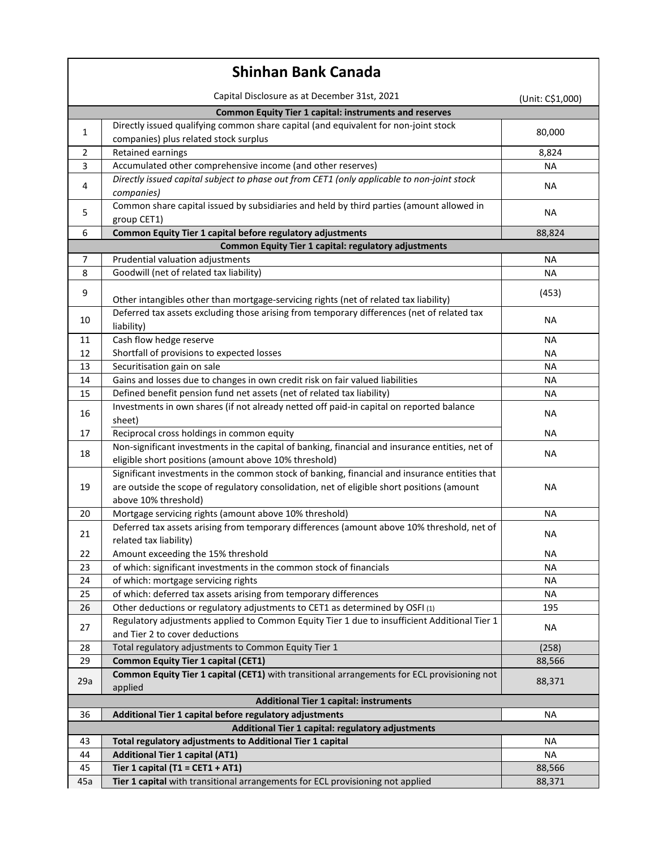| <b>Shinhan Bank Canada</b>                                    |                                                                                                                                                                                                                     |                  |  |
|---------------------------------------------------------------|---------------------------------------------------------------------------------------------------------------------------------------------------------------------------------------------------------------------|------------------|--|
|                                                               | Capital Disclosure as at December 31st, 2021                                                                                                                                                                        | (Unit: C\$1,000) |  |
| <b>Common Equity Tier 1 capital: instruments and reserves</b> |                                                                                                                                                                                                                     |                  |  |
| 1                                                             | Directly issued qualifying common share capital (and equivalent for non-joint stock<br>companies) plus related stock surplus                                                                                        | 80,000           |  |
| 2                                                             | Retained earnings                                                                                                                                                                                                   | 8,824            |  |
| 3                                                             | Accumulated other comprehensive income (and other reserves)                                                                                                                                                         | ΝA               |  |
| 4                                                             | Directly issued capital subject to phase out from CET1 (only applicable to non-joint stock<br>companies)                                                                                                            | <b>NA</b>        |  |
| 5                                                             | Common share capital issued by subsidiaries and held by third parties (amount allowed in<br>group CET1)                                                                                                             | <b>NA</b>        |  |
| 6                                                             | Common Equity Tier 1 capital before regulatory adjustments                                                                                                                                                          | 88,824           |  |
| <b>Common Equity Tier 1 capital: regulatory adjustments</b>   |                                                                                                                                                                                                                     |                  |  |
| 7                                                             | Prudential valuation adjustments                                                                                                                                                                                    | NА               |  |
| 8                                                             | Goodwill (net of related tax liability)                                                                                                                                                                             | <b>NA</b>        |  |
| 9                                                             | Other intangibles other than mortgage-servicing rights (net of related tax liability)                                                                                                                               | (453)            |  |
| 10                                                            | Deferred tax assets excluding those arising from temporary differences (net of related tax<br>liability)                                                                                                            | NА               |  |
| 11                                                            | Cash flow hedge reserve                                                                                                                                                                                             | NА               |  |
| 12                                                            | Shortfall of provisions to expected losses                                                                                                                                                                          | <b>NA</b>        |  |
| 13                                                            | Securitisation gain on sale                                                                                                                                                                                         | <b>NA</b>        |  |
| 14                                                            | Gains and losses due to changes in own credit risk on fair valued liabilities                                                                                                                                       | <b>NA</b>        |  |
| 15                                                            | Defined benefit pension fund net assets (net of related tax liability)                                                                                                                                              | <b>NA</b>        |  |
| 16                                                            | Investments in own shares (if not already netted off paid-in capital on reported balance<br>sheet)                                                                                                                  | <b>NA</b>        |  |
| 17                                                            | Reciprocal cross holdings in common equity                                                                                                                                                                          | NA               |  |
| 18                                                            | Non-significant investments in the capital of banking, financial and insurance entities, net of<br>eligible short positions (amount above 10% threshold)                                                            | <b>NA</b>        |  |
| 19                                                            | Significant investments in the common stock of banking, financial and insurance entities that<br>are outside the scope of regulatory consolidation, net of eligible short positions (amount<br>above 10% threshold) | <b>NA</b>        |  |
| 20                                                            | Mortgage servicing rights (amount above 10% threshold)                                                                                                                                                              | <b>NA</b>        |  |
| 21                                                            | Deferred tax assets arising from temporary differences (amount above 10% threshold, net of<br>related tax liability)                                                                                                | <b>NA</b>        |  |
| 22                                                            | Amount exceeding the 15% threshold                                                                                                                                                                                  | NА               |  |
| 23                                                            | of which: significant investments in the common stock of financials                                                                                                                                                 | <b>NA</b>        |  |
| 24                                                            | of which: mortgage servicing rights                                                                                                                                                                                 | ΝA               |  |
| 25                                                            | of which: deferred tax assets arising from temporary differences                                                                                                                                                    | <b>NA</b>        |  |
| 26                                                            | Other deductions or regulatory adjustments to CET1 as determined by OSFI (1)                                                                                                                                        | 195              |  |
| 27                                                            | Regulatory adjustments applied to Common Equity Tier 1 due to insufficient Additional Tier 1<br>and Tier 2 to cover deductions                                                                                      | ΝA               |  |
| 28                                                            | Total regulatory adjustments to Common Equity Tier 1                                                                                                                                                                | (258)            |  |
| 29                                                            | <b>Common Equity Tier 1 capital (CET1)</b>                                                                                                                                                                          | 88,566           |  |
| 29a                                                           | Common Equity Tier 1 capital (CET1) with transitional arrangements for ECL provisioning not<br>applied                                                                                                              | 88,371           |  |
|                                                               | <b>Additional Tier 1 capital: instruments</b>                                                                                                                                                                       |                  |  |
| 36                                                            | Additional Tier 1 capital before regulatory adjustments                                                                                                                                                             | <b>NA</b>        |  |
| Additional Tier 1 capital: regulatory adjustments             |                                                                                                                                                                                                                     |                  |  |
| 43                                                            | Total regulatory adjustments to Additional Tier 1 capital                                                                                                                                                           | NА               |  |
| 44                                                            | <b>Additional Tier 1 capital (AT1)</b>                                                                                                                                                                              | <b>NA</b>        |  |
| 45                                                            | Tier 1 capital (T1 = CET1 + AT1)                                                                                                                                                                                    | 88,566           |  |
| 45a                                                           | Tier 1 capital with transitional arrangements for ECL provisioning not applied                                                                                                                                      | 88,371           |  |